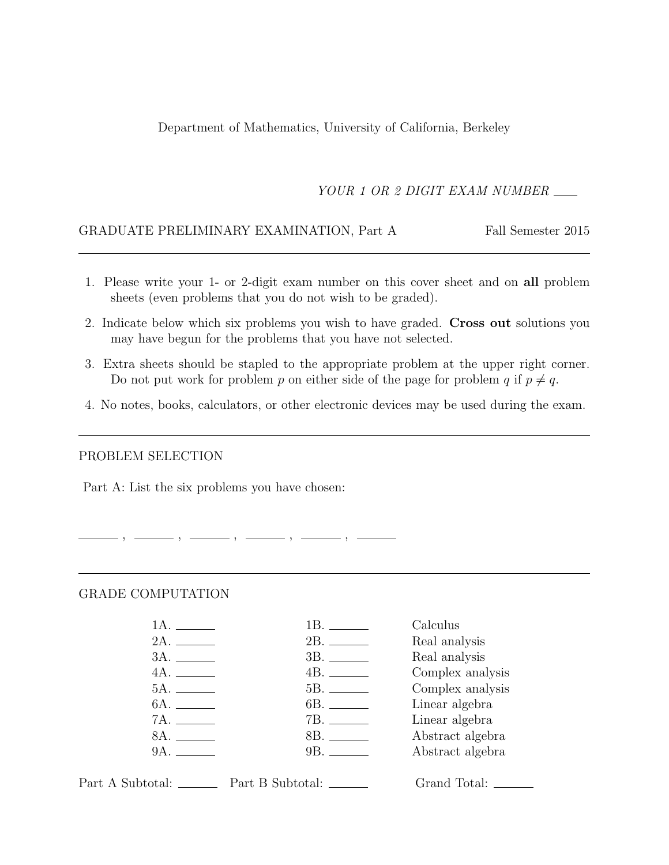Department of Mathematics, University of California, Berkeley

YOUR 1 OR 2 DIGIT EXAM NUMBER

#### GRADUATE PRELIMINARY EXAMINATION, Part A Fall Semester 2015

- 1. Please write your 1- or 2-digit exam number on this cover sheet and on all problem sheets (even problems that you do not wish to be graded).
- 2. Indicate below which six problems you wish to have graded. Cross out solutions you may have begun for the problems that you have not selected.
- 3. Extra sheets should be stapled to the appropriate problem at the upper right corner. Do not put work for problem p on either side of the page for problem q if  $p \neq q$ .
- 4. No notes, books, calculators, or other electronic devices may be used during the exam.

#### PROBLEM SELECTION

Part A: List the six problems you have chosen:

, , , , ,

#### GRADE COMPUTATION

|              | Calculus         |
|--------------|------------------|
|              | Real analysis    |
|              | Real analysis    |
| 4A.          | Complex analysis |
|              | Complex analysis |
| 6A. ________ | Linear algebra   |
|              | Linear algebra   |
| 8A.          | Abstract algebra |
| 9A.          | Abstract algebra |
|              |                  |

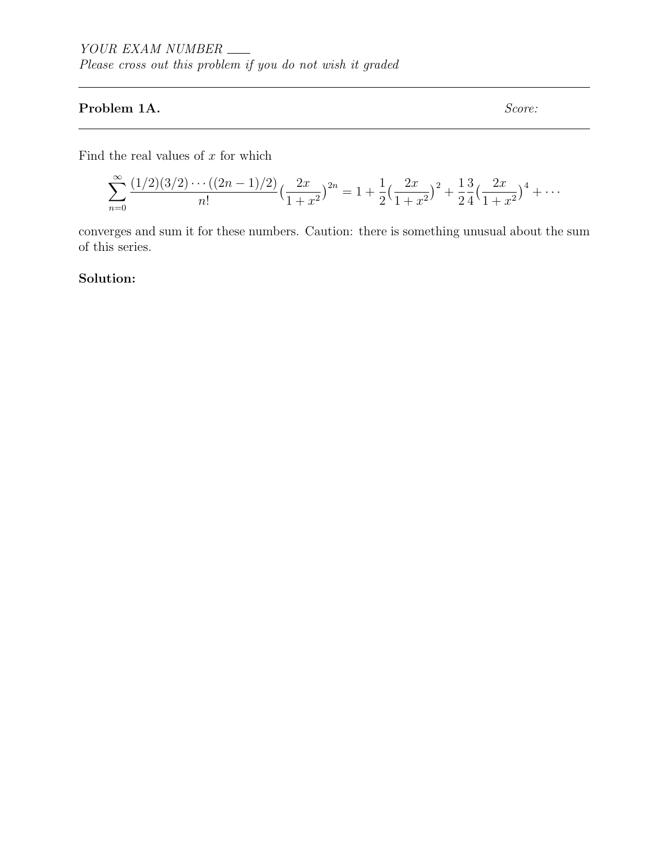## Problem 1A. Score:

Find the real values of  $x$  for which

$$
\sum_{n=0}^{\infty} \frac{(1/2)(3/2)\cdots((2n-1)/2)}{n!} \left(\frac{2x}{1+x^2}\right)^{2n} = 1 + \frac{1}{2}\left(\frac{2x}{1+x^2}\right)^2 + \frac{1}{2}\frac{3}{4}\left(\frac{2x}{1+x^2}\right)^4 + \cdots
$$

converges and sum it for these numbers. Caution: there is something unusual about the sum of this series.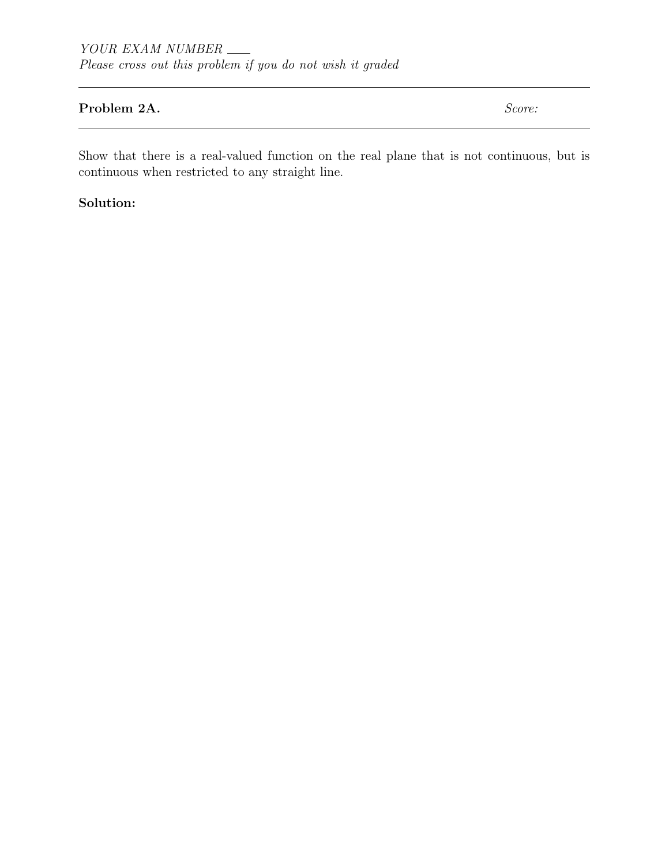### Problem 2A. Score:

Show that there is a real-valued function on the real plane that is not continuous, but is continuous when restricted to any straight line.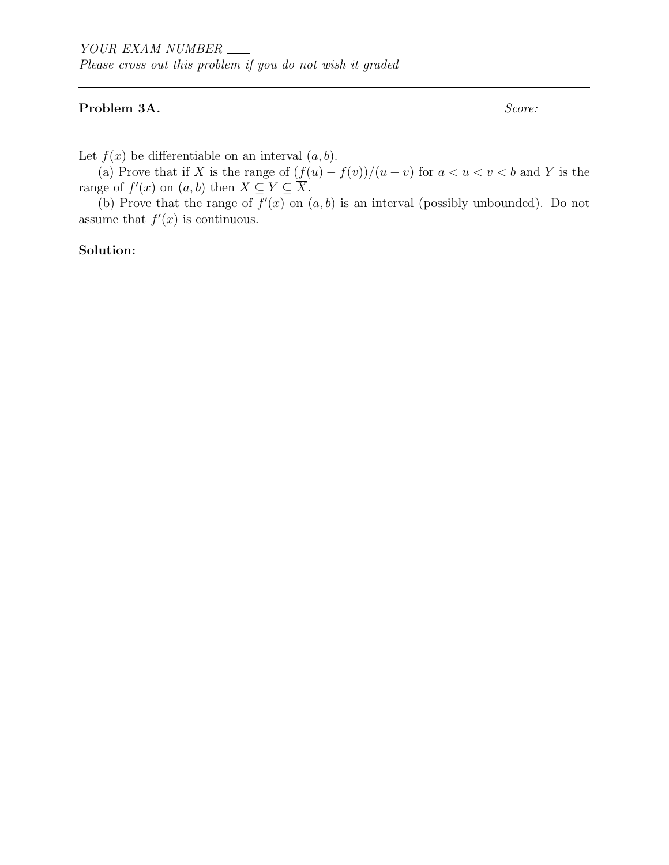#### Problem 3A. Score:

Let  $f(x)$  be differentiable on an interval  $(a, b)$ .

(a) Prove that if X is the range of  $(f(u) - f(v))/(u - v)$  for  $a < u < v < b$  and Y is the range of  $f'(x)$  on  $(a, b)$  then  $X \subseteq Y \subseteq \overline{X}$ .

(b) Prove that the range of  $f'(x)$  on  $(a, b)$  is an interval (possibly unbounded). Do not assume that  $f'(x)$  is continuous.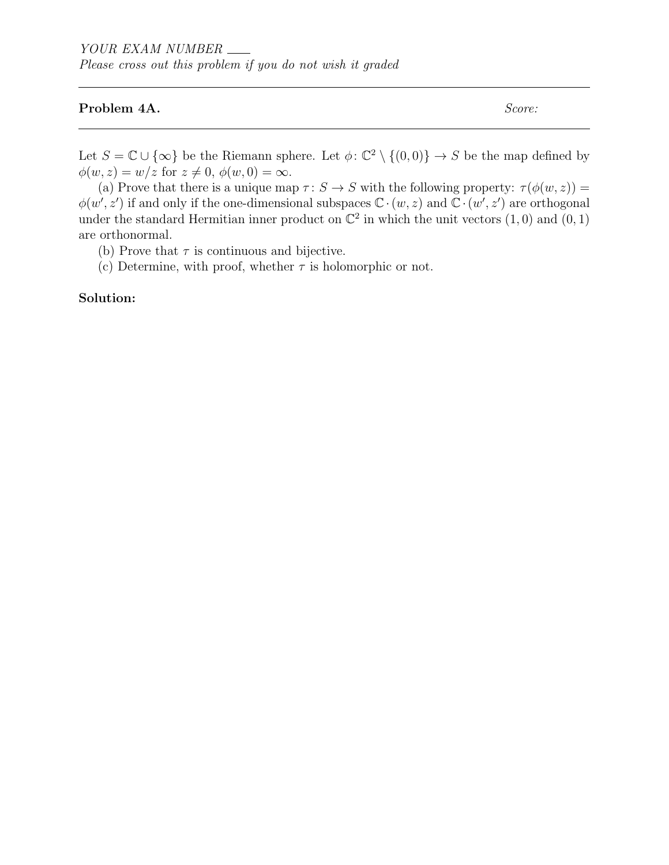#### Problem 4A. Score:

Let  $S = \mathbb{C} \cup \{\infty\}$  be the Riemann sphere. Let  $\phi: \mathbb{C}^2 \setminus \{(0,0)\} \to S$  be the map defined by  $\phi(w, z) = w/z$  for  $z \neq 0, \phi(w, 0) = \infty$ .

(a) Prove that there is a unique map  $\tau: S \to S$  with the following property:  $\tau(\phi(w, z)) =$  $\phi(w', z')$  if and only if the one-dimensional subspaces  $\mathbb{C} \cdot (w, z)$  and  $\mathbb{C} \cdot (w', z')$  are orthogonal under the standard Hermitian inner product on  $\mathbb{C}^2$  in which the unit vectors  $(1,0)$  and  $(0,1)$ are orthonormal.

(b) Prove that  $\tau$  is continuous and bijective.

(c) Determine, with proof, whether  $\tau$  is holomorphic or not.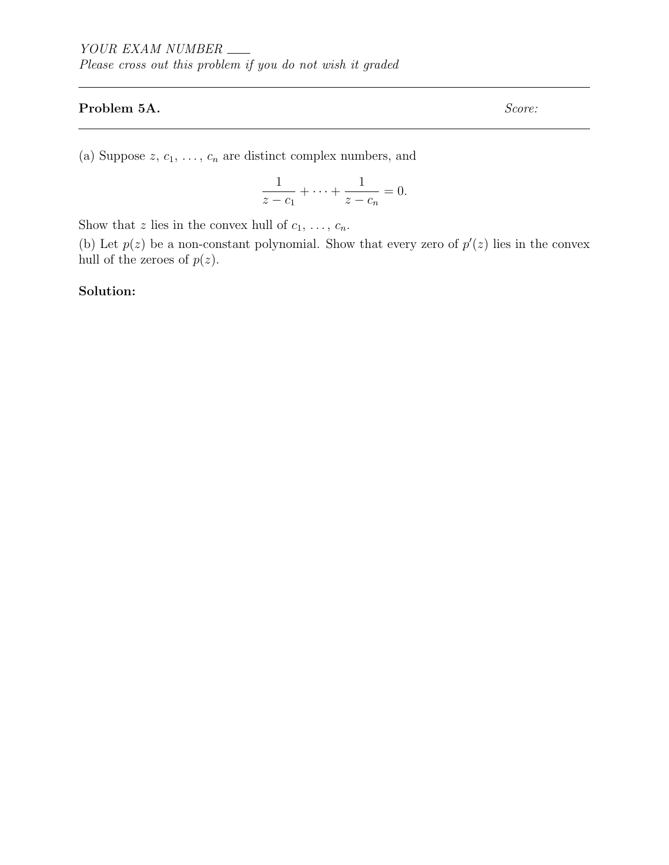## Problem 5A. Score:

(a) Suppose  $z, c_1, \ldots, c_n$  are distinct complex numbers, and

$$
\frac{1}{z - c_1} + \dots + \frac{1}{z - c_n} = 0.
$$

Show that z lies in the convex hull of  $c_1, \ldots, c_n$ .

(b) Let  $p(z)$  be a non-constant polynomial. Show that every zero of  $p'(z)$  lies in the convex hull of the zeroes of  $p(z)$ .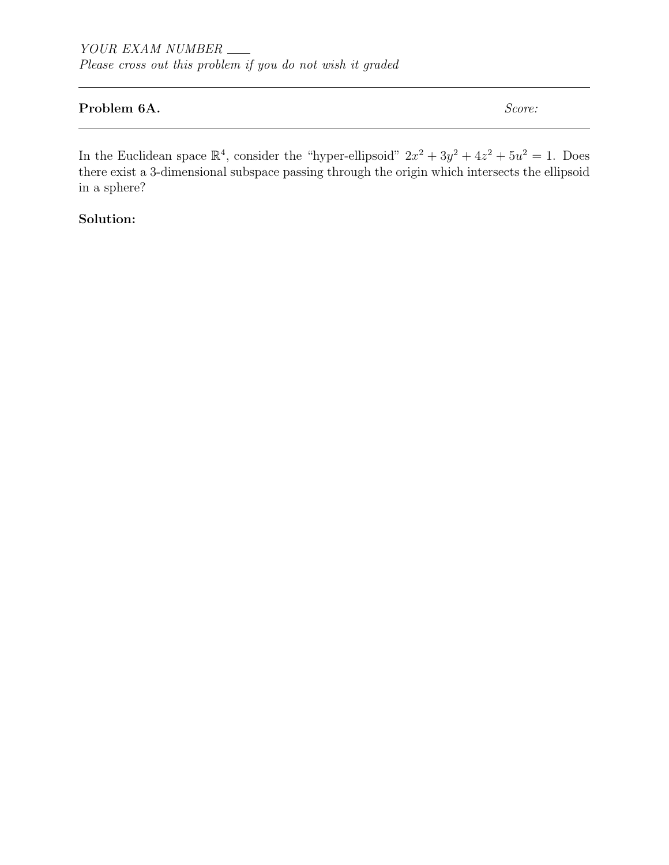## Problem 6A. Score:

In the Euclidean space  $\mathbb{R}^4$ , consider the "hyper-ellipsoid"  $2x^2 + 3y^2 + 4z^2 + 5u^2 = 1$ . Does there exist a 3-dimensional subspace passing through the origin which intersects the ellipsoid in a sphere?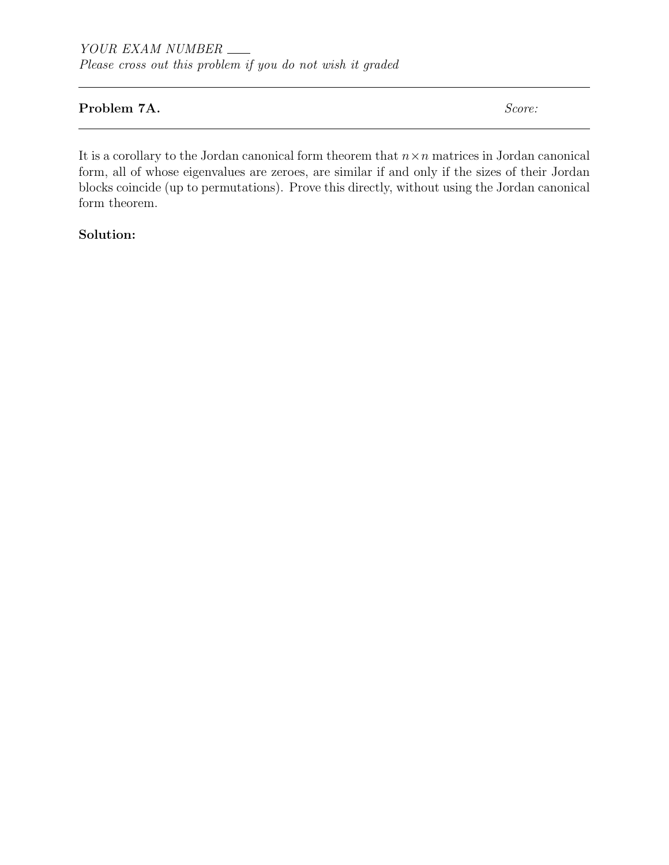### Problem 7A. Score:

It is a corollary to the Jordan canonical form theorem that  $n \times n$  matrices in Jordan canonical form, all of whose eigenvalues are zeroes, are similar if and only if the sizes of their Jordan blocks coincide (up to permutations). Prove this directly, without using the Jordan canonical form theorem.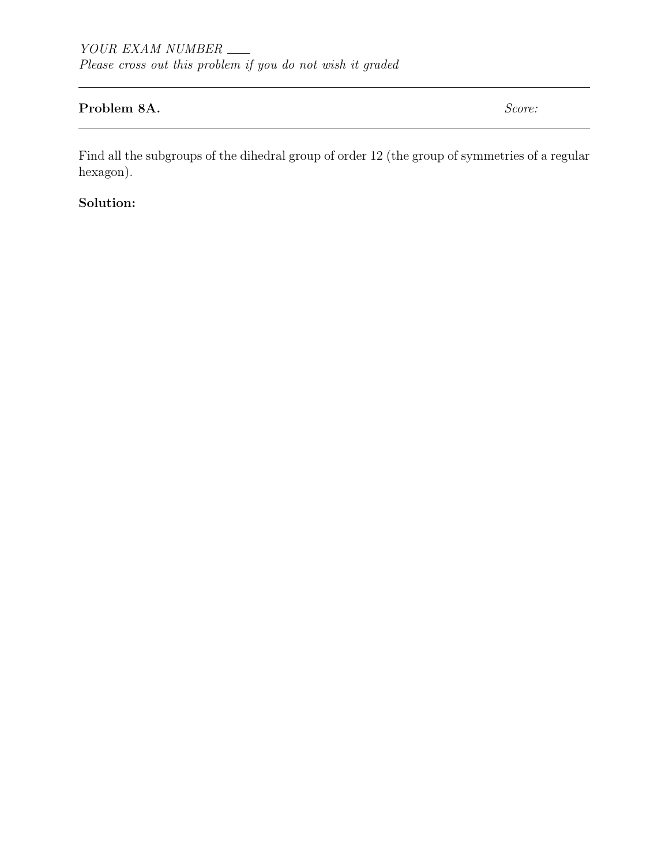# Problem 8A. Score:

Find all the subgroups of the dihedral group of order 12 (the group of symmetries of a regular hexagon).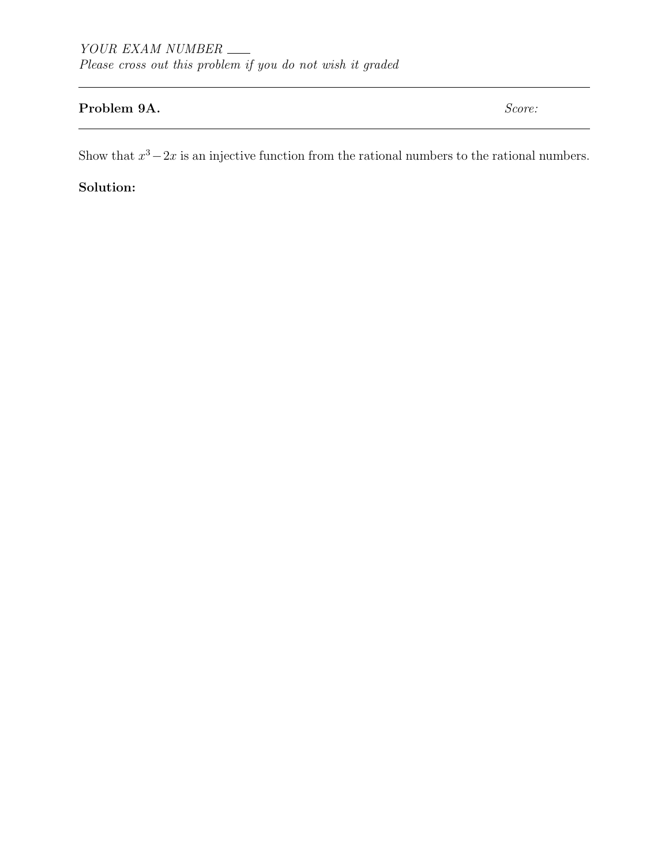# Problem 9A. Score:

Show that  $x^3 - 2x$  is an injective function from the rational numbers to the rational numbers.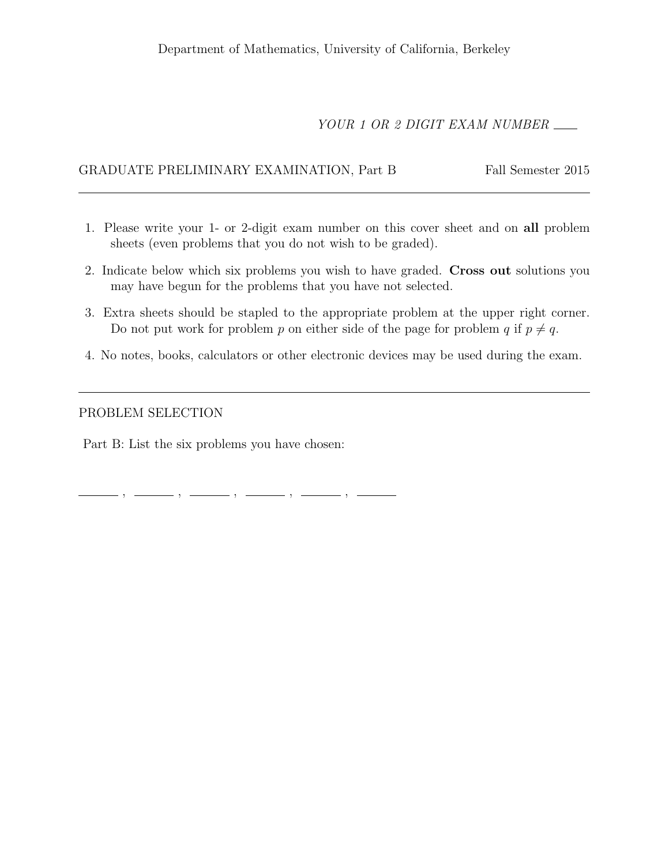# YOUR 1 OR 2 DIGIT EXAM NUMBER

#### GRADUATE PRELIMINARY EXAMINATION, Part B Fall Semester 2015

- 1. Please write your 1- or 2-digit exam number on this cover sheet and on all problem sheets (even problems that you do not wish to be graded).
- 2. Indicate below which six problems you wish to have graded. Cross out solutions you may have begun for the problems that you have not selected.
- 3. Extra sheets should be stapled to the appropriate problem at the upper right corner. Do not put work for problem p on either side of the page for problem q if  $p \neq q$ .
- 4. No notes, books, calculators or other electronic devices may be used during the exam.

#### PROBLEM SELECTION

Part B: List the six problems you have chosen:

, , , , ,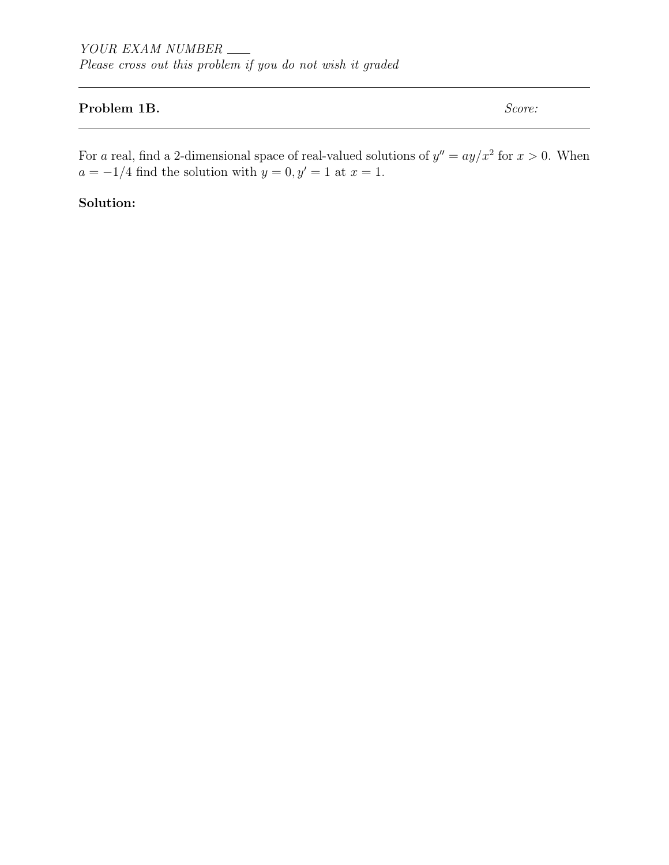#### Problem 1B. Score:

For a real, find a 2-dimensional space of real-valued solutions of  $y'' = ay/x^2$  for  $x > 0$ . When  $a = -1/4$  find the solution with  $y = 0, y' = 1$  at  $x = 1$ .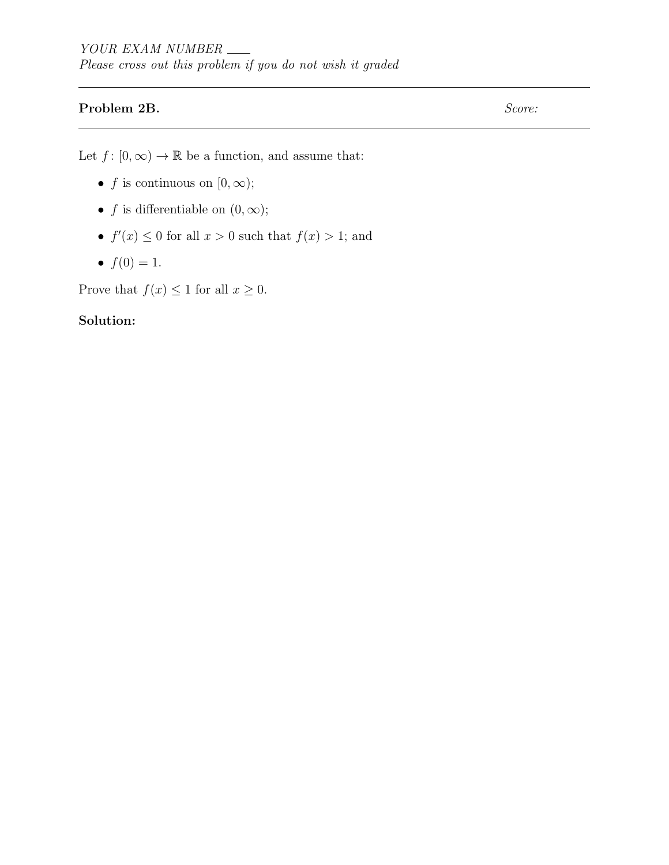## Problem 2B. Score:

Let  $f: [0, \infty) \to \mathbb{R}$  be a function, and assume that:

- f is continuous on  $[0, \infty)$ ;
- f is differentiable on  $(0, \infty)$ ;
- $f'(x) \leq 0$  for all  $x > 0$  such that  $f(x) > 1$ ; and
- $f(0) = 1$ .

Prove that  $f(x) \leq 1$  for all  $x \geq 0$ .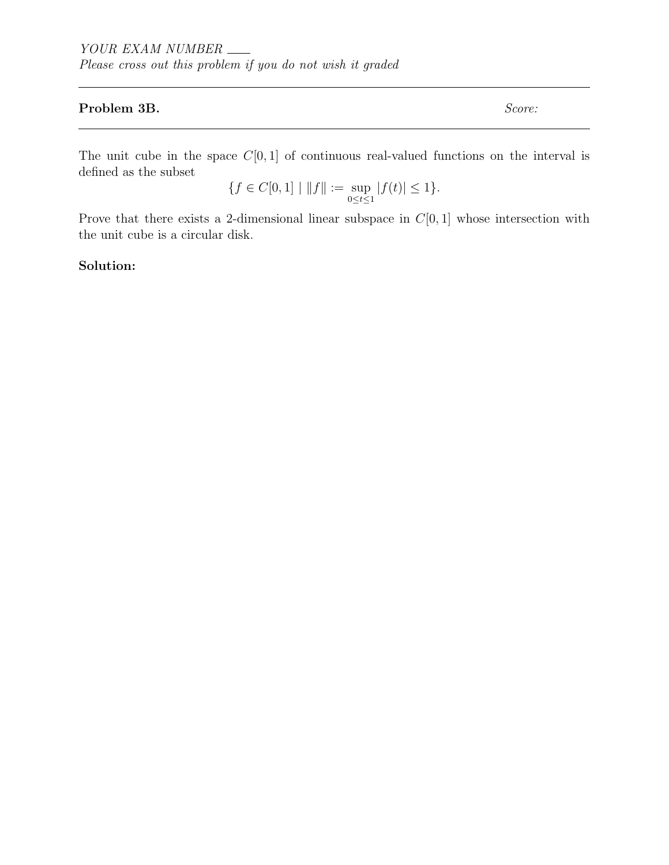#### Problem 3B. Score:

The unit cube in the space  $C[0, 1]$  of continuous real-valued functions on the interval is defined as the subset

$$
\{f\in C[0,1]\mid \|f\|:=\sup_{0\leq t\leq 1}|f(t)|\leq 1\}.
$$

Prove that there exists a 2-dimensional linear subspace in  $C[0, 1]$  whose intersection with the unit cube is a circular disk.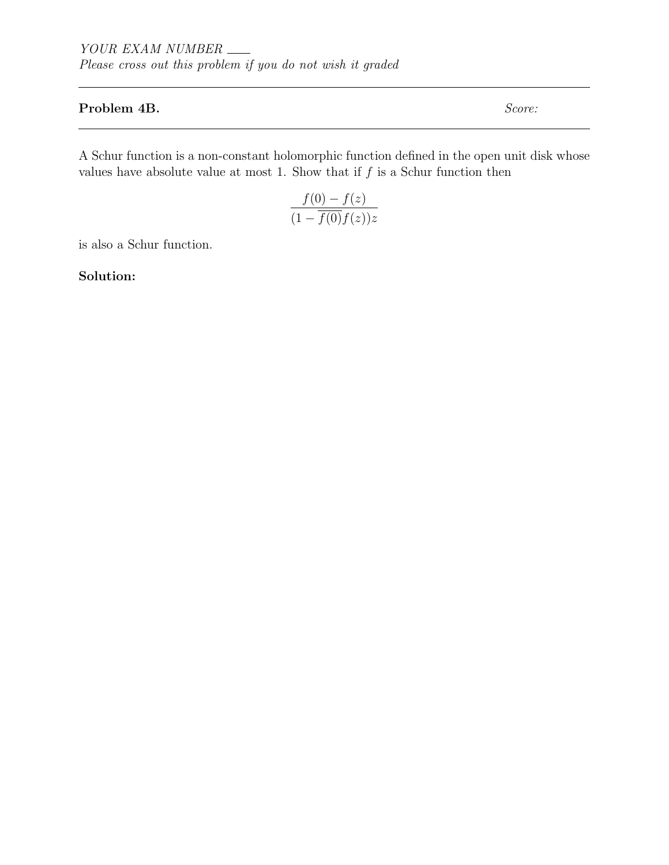#### Problem 4B. Score:

A Schur function is a non-constant holomorphic function defined in the open unit disk whose values have absolute value at most 1. Show that if  $f$  is a Schur function then

$$
\frac{f(0) - f(z)}{(1 - \overline{f(0)}f(z))z}
$$

is also a Schur function.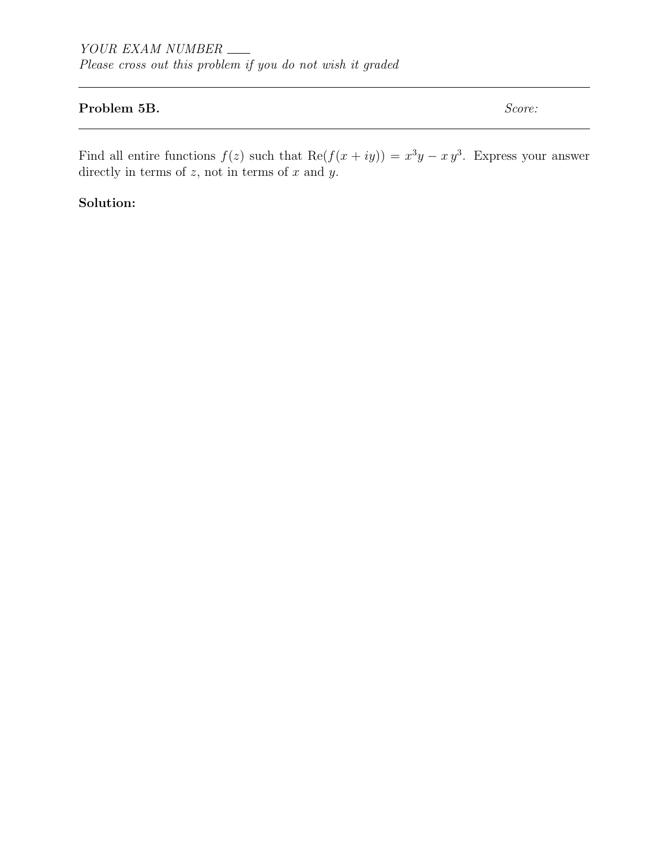#### Problem 5B. Score:

Find all entire functions  $f(z)$  such that  $\text{Re}(f(x+iy)) = x^3y - xy^3$ . Express your answer directly in terms of  $z$ , not in terms of  $x$  and  $y$ .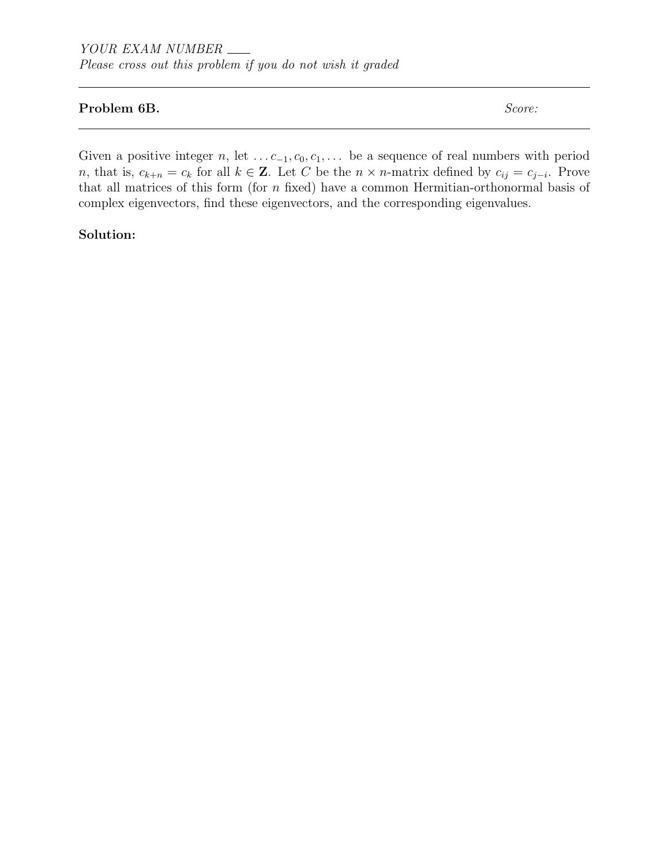#### Problem 6B. Score:

Given a positive integer n, let  $\dots c_{-1}, c_0, c_1, \dots$  be a sequence of real numbers with period n, that is,  $c_{k+n} = c_k$  for all  $k \in \mathbb{Z}$ . Let C be the  $n \times n$ -matrix defined by  $c_{ij} = c_{j-i}$ . Prove that all matrices of this form (for  $n$  fixed) have a common Hermitian-orthonormal basis of complex eigenvectors, find these eigenvectors, and the corresponding eigenvalues.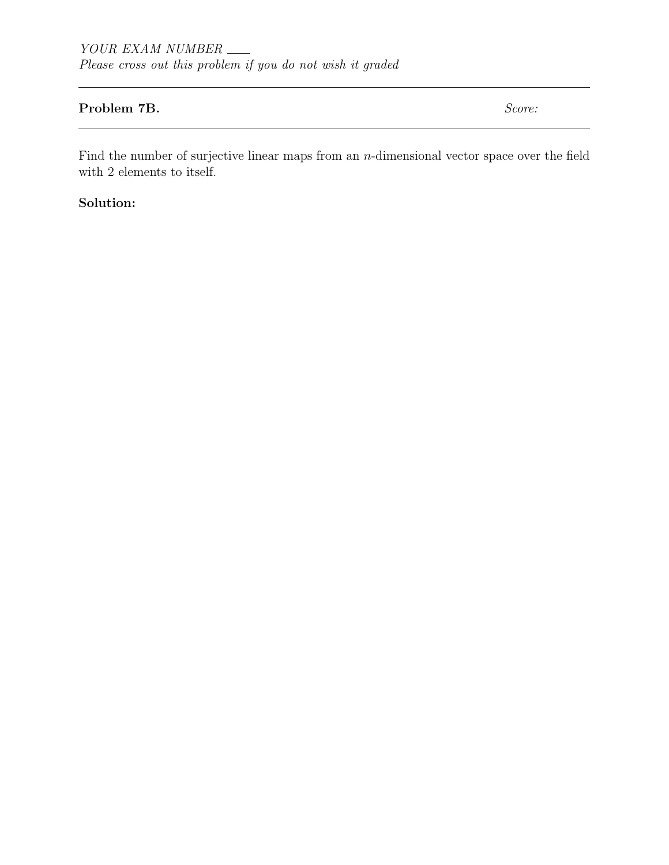#### Problem 7B. Score:

Find the number of surjective linear maps from an  $n$ -dimensional vector space over the field with 2 elements to itself.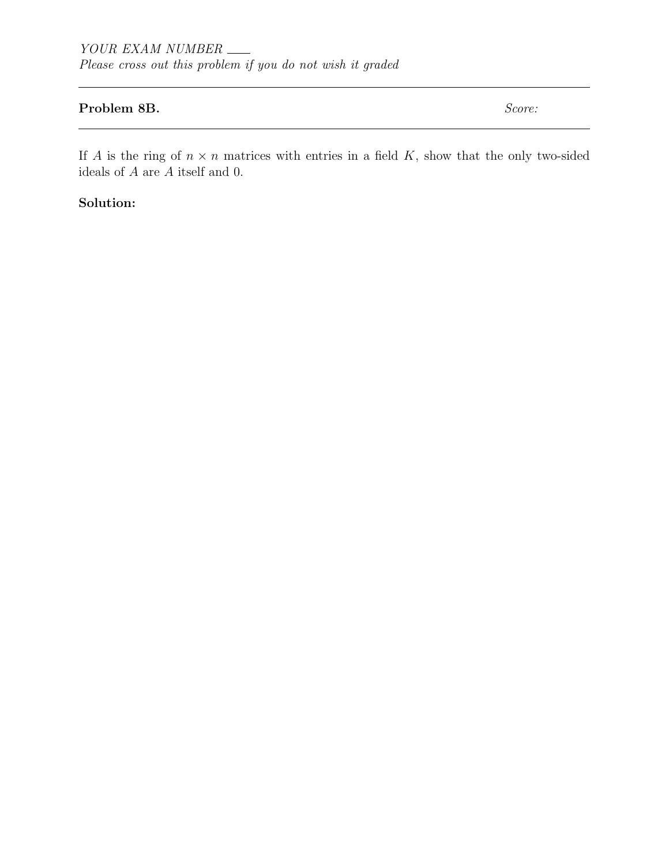#### Problem 8B. Score:

If A is the ring of  $n \times n$  matrices with entries in a field K, show that the only two-sided ideals of  $\cal A$  are  $\cal A$  itself and 0.